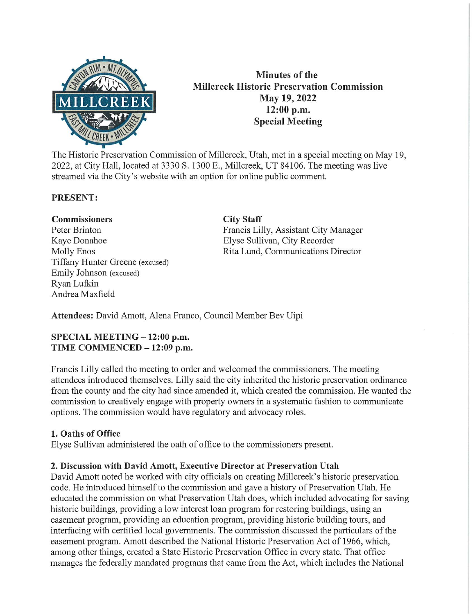

Minutes of the Millcreek Historic Preservation Commission May 19, 2022 12:00 p.m. Special Meeting

The Historic Preservation Commission of Millcreek, Utah, met in a special meeting on May 19, 2022, at City Hall, located at 3330 S. 1300 E., Millcreek, UT 84106. The meeting was live streamed via the City's website with an option for online public comment.

### PRESENT:

### Commissioners Peter Brinton Kaye Donahoe Molly Enos Tiffany Hunter Greene (excused) Emily Johnson (excused) Ryan Lufkin Andrea Maxfield

#### City Staff

Francis Lilly, Assistant City Manager Elyse Sullivan, City Recorder Rita Lund, Communications Director

Attendees: David Amott, Alena Franco, Council Member Bev Uipi

### SPECIAL MEETING - 12:00 p.m. TIME COMMENCED - 12:09 p.m.

Francis Lilly called the meeting to order and welcomed the commissioners. The meeting attendees introduced themselves. Lilly said the city inherited the historic preservation ordinance from the county and the city had since amended it, which created the commission. He wanted the commission to creatively engage with property owners in a systematic fashion to communicate options. The commission would have regulatory and advocacy roles.

### 1. Oaths of Office

Elyse Sullivan administered the oath of office to the commissioners present.

### 2. Discussion with David Amott, Executive Director at Preservation Utah

David Amott noted he worked with city officials on creating Millcreek's historic preservation code. He introduced himself to the commission and gave a history of Preservation Utah. He educated the commission on what Preservation Utah does, which included advocating for saving historic buildings, providing a low interest loan program for restoring buildings, using an easement program, providing an education program, providing historic building tours, and interfacing with certified local governments. The commission discussed the particulars of the easement program. Amott described the National Historic Preservation Act of 1966, which, among other things, created a State Historic Preservation Office in every state. That office manages the federally mandated programs that came from the Act, which includes the National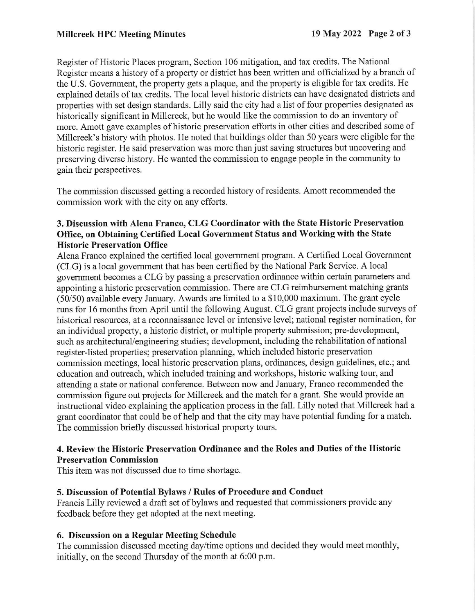Register of Historic Places program, Section 106 mitigation, and tax credits. The National Register means a history of a property or district has been written and officialized by a branch of the U.S. Governrnent, the property gets a plaque, and the property is eligible for tax credits. He explained details of tax credits. The local level historic districts Can have designated districts and properties with set design standards. Lilly said the city had a list of four properties designated as historically significant in Millcreek, but he would like the commission to do an inventory of more. Amott gave examples of historic preservation efforts in other cities and described some of Millcreek's history with photos. He noted that buildings older than 50 years were eligible for the historic register. He said preservation was more than just saving structures but uncovering and preserving diverse history. He wanted the commission to engage people in the community to gain their perspectives.

The commission discussed getting a recorded history of residents. Amott recommended the commission work with the city on any efforts.

## 3. Discussion with Alena Franco, CLG Coordinator with the State Historic Preservation Office, on Obtaining Certified Local Government Status and Working with the State Historic Preservation Office

Alena Franco explained the certified local government program. A Certified Local Government (CLG) is a local government that has been certified by the National Park Service. A local governrnent becomes a CLG by passing a preservation ordinance within certain parameters and appointing a historic preservation commission. There are CLG reimbursement matching grants (50/50) available every January. Awards are limited to a \$10,000 maximum. The grant cycle runs for 16 months from April until the following August. CLG grant projects include surveys of historical resources, at a reconnaissance level or intensive level; national register nomination, for an individual property, a historic district, or multiple property submission; pre-development, such as architectural/engineering studies; development, including the rehabilitation of national register-listed properties; preservation planning, which included historic preservation commission meetings, local historic preservation plans, ordinances, design guidelines, etc.; and education and outreach, which included training and workshops, historic walking tour, and attending a state or national conference. Between now and January, Franco recommended the commission figure out projects for Millcreek and the match for a grant. She would provide an instructional video explaining the application process in the fall. Lilly noted that Millcreek had a grant coordinator that could be of help and that the city may have potential funding for a match. The commission briefly discussed historical property tours.

### 4. Review the Historic Preservation Ordinance and the Roles and Duties of the Historic Preservation Commission

This item was not discussed due to time shortage.

## 5. Discussion of Potential Bylaws / Rules of Procedure and Conduct

Francis Lilly reviewed a draft set of bylaws and requested that commissioners provide any feedback before they get adopted at the next meeting.

## 6. Discussion on a Regular Meeting Schedule

The commission discussed meeting day/time options and decided they would meet monthly, initially, on the second Thursday of the month at 6:00 p.m.